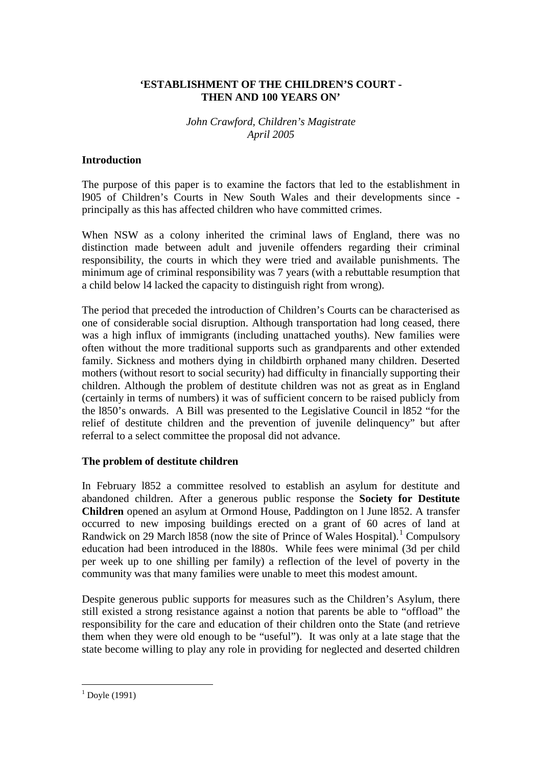## **'ESTABLISHMENT OF THE CHILDREN'S COURT - THEN AND 100 YEARS ON'**

## *John Crawford, Children's Magistrate April 2005*

#### **Introduction**

The purpose of this paper is to examine the factors that led to the establishment in l905 of Children's Courts in New South Wales and their developments since principally as this has affected children who have committed crimes.

When NSW as a colony inherited the criminal laws of England, there was no distinction made between adult and juvenile offenders regarding their criminal responsibility, the courts in which they were tried and available punishments. The minimum age of criminal responsibility was 7 years (with a rebuttable resumption that a child below l4 lacked the capacity to distinguish right from wrong).

The period that preceded the introduction of Children's Courts can be characterised as one of considerable social disruption. Although transportation had long ceased, there was a high influx of immigrants (including unattached youths). New families were often without the more traditional supports such as grandparents and other extended family. Sickness and mothers dying in childbirth orphaned many children. Deserted mothers (without resort to social security) had difficulty in financially supporting their children. Although the problem of destitute children was not as great as in England (certainly in terms of numbers) it was of sufficient concern to be raised publicly from the l850's onwards. A Bill was presented to the Legislative Council in l852 "for the relief of destitute children and the prevention of juvenile delinquency" but after referral to a select committee the proposal did not advance.

#### **The problem of destitute children**

In February l852 a committee resolved to establish an asylum for destitute and abandoned children. After a generous public response the **Society for Destitute Children** opened an asylum at Ormond House, Paddington on l June l852. A transfer occurred to new imposing buildings erected on a grant of 60 acres of land at Randwick on 29 March [1](#page-0-0)858 (now the site of Prince of Wales Hospital).<sup>1</sup> Compulsory education had been introduced in the l880s. While fees were minimal (3d per child per week up to one shilling per family) a reflection of the level of poverty in the community was that many families were unable to meet this modest amount.

Despite generous public supports for measures such as the Children's Asylum, there still existed a strong resistance against a notion that parents be able to "offload" the responsibility for the care and education of their children onto the State (and retrieve them when they were old enough to be "useful"). It was only at a late stage that the state become willing to play any role in providing for neglected and deserted children

<span id="page-0-0"></span> $1^1$  Doyle (1991)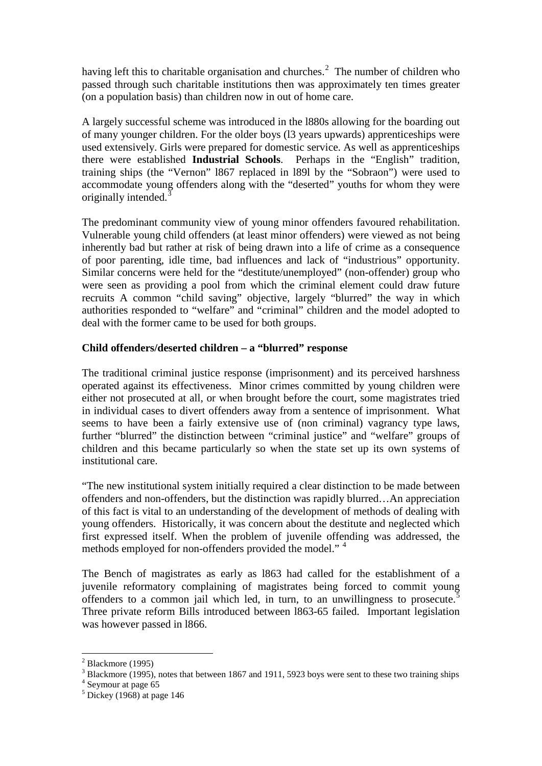having left this to charitable organisation and churches.<sup>[2](#page-1-0)</sup> The number of children who passed through such charitable institutions then was approximately ten times greater (on a population basis) than children now in out of home care.

A largely successful scheme was introduced in the l880s allowing for the boarding out of many younger children. For the older boys (l3 years upwards) apprenticeships were used extensively. Girls were prepared for domestic service. As well as apprenticeships there were established **Industrial Schools**. Perhaps in the "English" tradition, training ships (the "Vernon" l867 replaced in l89l by the "Sobraon") were used to accommodate young offenders along with the "deserted" youths for whom they were originally intended.<sup>[3](#page-1-1)</sup>

The predominant community view of young minor offenders favoured rehabilitation. Vulnerable young child offenders (at least minor offenders) were viewed as not being inherently bad but rather at risk of being drawn into a life of crime as a consequence of poor parenting, idle time, bad influences and lack of "industrious" opportunity. Similar concerns were held for the "destitute/unemployed" (non-offender) group who were seen as providing a pool from which the criminal element could draw future recruits A common "child saving" objective, largely "blurred" the way in which authorities responded to "welfare" and "criminal" children and the model adopted to deal with the former came to be used for both groups.

# **Child offenders/deserted children – a "blurred" response**

The traditional criminal justice response (imprisonment) and its perceived harshness operated against its effectiveness. Minor crimes committed by young children were either not prosecuted at all, or when brought before the court, some magistrates tried in individual cases to divert offenders away from a sentence of imprisonment. What seems to have been a fairly extensive use of (non criminal) vagrancy type laws, further "blurred" the distinction between "criminal justice" and "welfare" groups of children and this became particularly so when the state set up its own systems of institutional care.

"The new institutional system initially required a clear distinction to be made between offenders and non-offenders, but the distinction was rapidly blurred…An appreciation of this fact is vital to an understanding of the development of methods of dealing with young offenders. Historically, it was concern about the destitute and neglected which first expressed itself. When the problem of juvenile offending was addressed, the methods employed for non-offenders provided the model."<sup>[4](#page-1-2)</sup>

The Bench of magistrates as early as l863 had called for the establishment of a juvenile reformatory complaining of magistrates being forced to commit young offenders to a common jail which led, in turn, to an unwillingness to prosecute.<sup>[5](#page-1-3)</sup> Three private reform Bills introduced between l863-65 failed. Important legislation was however passed in l866.

 $<sup>2</sup>$  Blackmore (1995)</sup>

<span id="page-1-1"></span><span id="page-1-0"></span><sup>&</sup>lt;sup>3</sup> Blackmore (1995), notes that between 1867 and 1911, 5923 boys were sent to these two training ships

<span id="page-1-2"></span><sup>&</sup>lt;sup>4</sup> Seymour at page 65

<span id="page-1-3"></span> $<sup>5</sup>$  Dickey (1968) at page 146</sup>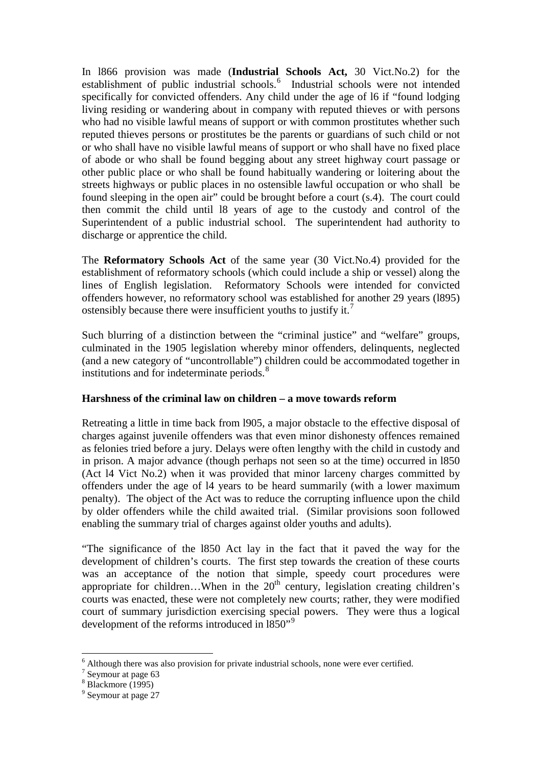In l866 provision was made (**Industrial Schools Act,** 30 Vict.No.2) for the establishment of public industrial schools.<sup>[6](#page-2-0)</sup> Industrial schools were not intended specifically for convicted offenders. Any child under the age of l6 if "found lodging living residing or wandering about in company with reputed thieves or with persons who had no visible lawful means of support or with common prostitutes whether such reputed thieves persons or prostitutes be the parents or guardians of such child or not or who shall have no visible lawful means of support or who shall have no fixed place of abode or who shall be found begging about any street highway court passage or other public place or who shall be found habitually wandering or loitering about the streets highways or public places in no ostensible lawful occupation or who shall be found sleeping in the open air" could be brought before a court (s.4). The court could then commit the child until l8 years of age to the custody and control of the Superintendent of a public industrial school. The superintendent had authority to discharge or apprentice the child.

The **Reformatory Schools Act** of the same year (30 Vict.No.4) provided for the establishment of reformatory schools (which could include a ship or vessel) along the lines of English legislation. Reformatory Schools were intended for convicted offenders however, no reformatory school was established for another 29 years (l895) ostensibly because there were insufficient youths to justify it.[7](#page-2-1)

Such blurring of a distinction between the "criminal justice" and "welfare" groups, culminated in the 1905 legislation whereby minor offenders, delinquents, neglected (and a new category of "uncontrollable") children could be accommodated together in institutions and for indeterminate periods.[8](#page-2-2)

#### **Harshness of the criminal law on children – a move towards reform**

Retreating a little in time back from l905, a major obstacle to the effective disposal of charges against juvenile offenders was that even minor dishonesty offences remained as felonies tried before a jury. Delays were often lengthy with the child in custody and in prison. A major advance (though perhaps not seen so at the time) occurred in l850 (Act l4 Vict No.2) when it was provided that minor larceny charges committed by offenders under the age of l4 years to be heard summarily (with a lower maximum penalty). The object of the Act was to reduce the corrupting influence upon the child by older offenders while the child awaited trial. (Similar provisions soon followed enabling the summary trial of charges against older youths and adults).

"The significance of the l850 Act lay in the fact that it paved the way for the development of children's courts. The first step towards the creation of these courts was an acceptance of the notion that simple, speedy court procedures were appropriate for children...When in the  $20<sup>th</sup>$  century, legislation creating children's courts was enacted, these were not completely new courts; rather, they were modified court of summary jurisdiction exercising special powers. They were thus a logical development of the reforms introduced in 1850"<sup>[9](#page-2-3)</sup>

<span id="page-2-0"></span> $^6$  Although there was also provision for private industrial schools, none were ever certified.  $^7$  Seymour at page 63

<span id="page-2-2"></span><span id="page-2-1"></span> $8$  Blackmore (1995)

<span id="page-2-3"></span><sup>&</sup>lt;sup>9</sup> Seymour at page 27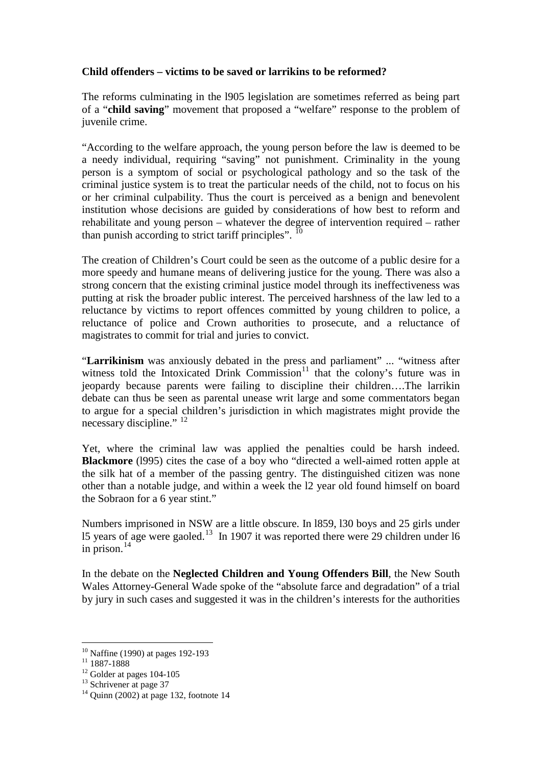## **Child offenders – victims to be saved or larrikins to be reformed?**

The reforms culminating in the l905 legislation are sometimes referred as being part of a "**child saving**" movement that proposed a "welfare" response to the problem of juvenile crime.

"According to the welfare approach, the young person before the law is deemed to be a needy individual, requiring "saving" not punishment. Criminality in the young person is a symptom of social or psychological pathology and so the task of the criminal justice system is to treat the particular needs of the child, not to focus on his or her criminal culpability. Thus the court is perceived as a benign and benevolent institution whose decisions are guided by considerations of how best to reform and rehabilitate and young person – whatever the degree of intervention required – rather than punish according to strict tariff principles".  $^{10}$  $^{10}$  $^{10}$ 

The creation of Children's Court could be seen as the outcome of a public desire for a more speedy and humane means of delivering justice for the young. There was also a strong concern that the existing criminal justice model through its ineffectiveness was putting at risk the broader public interest. The perceived harshness of the law led to a reluctance by victims to report offences committed by young children to police, a reluctance of police and Crown authorities to prosecute, and a reluctance of magistrates to commit for trial and juries to convict.

"**Larrikinism** was anxiously debated in the press and parliament" ... "witness after witness told the Intoxicated Drink Commission<sup>[11](#page-3-1)</sup> that the colony's future was in jeopardy because parents were failing to discipline their children….The larrikin debate can thus be seen as parental unease writ large and some commentators began to argue for a special children's jurisdiction in which magistrates might provide the necessary discipline." <sup>[12](#page-3-2)</sup>

Yet, where the criminal law was applied the penalties could be harsh indeed. **Blackmore** (l995) cites the case of a boy who "directed a well-aimed rotten apple at the silk hat of a member of the passing gentry. The distinguished citizen was none other than a notable judge, and within a week the l2 year old found himself on board the Sobraon for a 6 year stint."

Numbers imprisoned in NSW are a little obscure. In l859, l30 boys and 25 girls under l5 years of age were gaoled.[13](#page-3-3) In 1907 it was reported there were 29 children under l6 in prison. $^{14}$  $^{14}$  $^{14}$ 

In the debate on the **Neglected Children and Young Offenders Bill**, the New South Wales Attorney-General Wade spoke of the "absolute farce and degradation" of a trial by jury in such cases and suggested it was in the children's interests for the authorities

<span id="page-3-1"></span><span id="page-3-0"></span><sup>&</sup>lt;sup>10</sup> Naffine (1990) at pages 192-193<br><sup>11</sup> 1887-1888<br><sup>12</sup> Golder at pages 104-105<br><sup>13</sup> Schrivener at page 37<br><sup>14</sup> Quinn (2002) at page 132, footnote 14

<span id="page-3-2"></span>

<span id="page-3-3"></span>

<span id="page-3-4"></span>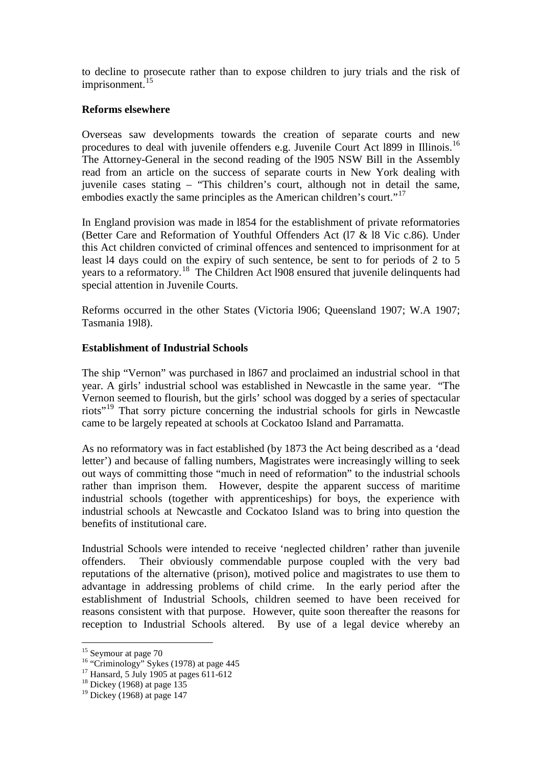to decline to prosecute rather than to expose children to jury trials and the risk of imprisonment.<sup>[15](#page-4-0)</sup>

## **Reforms elsewhere**

Overseas saw developments towards the creation of separate courts and new procedures to deal with juvenile offenders e.g. Juvenile Court Act 1899 in Illinois.<sup>[16](#page-4-1)</sup> The Attorney-General in the second reading of the l905 NSW Bill in the Assembly read from an article on the success of separate courts in New York dealing with juvenile cases stating – "This children's court, although not in detail the same, embodies exactly the same principles as the American children's court."<sup>[17](#page-4-2)</sup>

In England provision was made in l854 for the establishment of private reformatories (Better Care and Reformation of Youthful Offenders Act (l7 & l8 Vic c.86). Under this Act children convicted of criminal offences and sentenced to imprisonment for at least l4 days could on the expiry of such sentence, be sent to for periods of 2 to 5 years to a reformatory.<sup>[18](#page-4-3)</sup> The Children Act 1908 ensured that juvenile delinquents had special attention in Juvenile Courts.

Reforms occurred in the other States (Victoria l906; Queensland 1907; W.A 1907; Tasmania 19l8).

# **Establishment of Industrial Schools**

The ship "Vernon" was purchased in l867 and proclaimed an industrial school in that year. A girls' industrial school was established in Newcastle in the same year. "The Vernon seemed to flourish, but the girls' school was dogged by a series of spectacular riots"[19](#page-4-4) That sorry picture concerning the industrial schools for girls in Newcastle came to be largely repeated at schools at Cockatoo Island and Parramatta.

As no reformatory was in fact established (by 1873 the Act being described as a 'dead letter') and because of falling numbers, Magistrates were increasingly willing to seek out ways of committing those "much in need of reformation" to the industrial schools rather than imprison them. However, despite the apparent success of maritime industrial schools (together with apprenticeships) for boys, the experience with industrial schools at Newcastle and Cockatoo Island was to bring into question the benefits of institutional care.

Industrial Schools were intended to receive 'neglected children' rather than juvenile offenders. Their obviously commendable purpose coupled with the very bad reputations of the alternative (prison), motived police and magistrates to use them to advantage in addressing problems of child crime. In the early period after the establishment of Industrial Schools, children seemed to have been received for reasons consistent with that purpose. However, quite soon thereafter the reasons for reception to Industrial Schools altered. By use of a legal device whereby an

<span id="page-4-1"></span><span id="page-4-0"></span><sup>&</sup>lt;sup>15</sup> Seymour at page 70<br><sup>16</sup> "Criminology" Sykes (1978) at page 445<br><sup>17</sup> Hansard, 5 July 1905 at pages 611-612<br><sup>18</sup> Dickey (1968) at page 135

<span id="page-4-2"></span>

<span id="page-4-4"></span><span id="page-4-3"></span> $19$  Dickey (1968) at page 147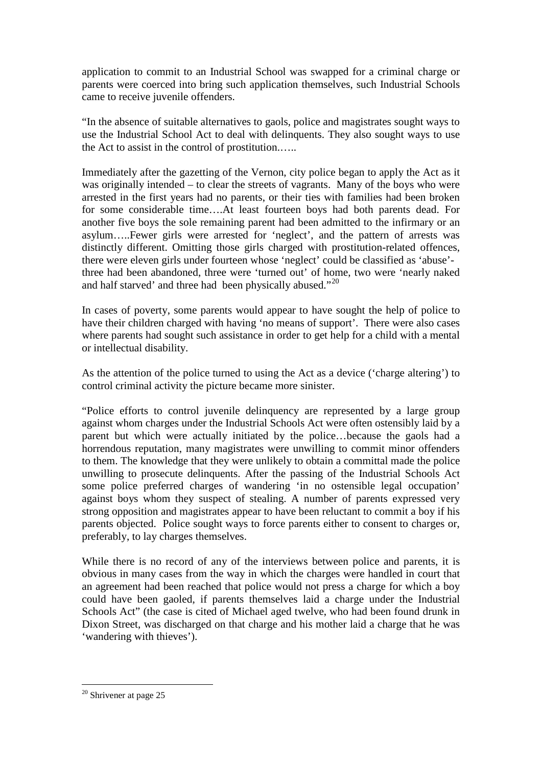application to commit to an Industrial School was swapped for a criminal charge or parents were coerced into bring such application themselves, such Industrial Schools came to receive juvenile offenders.

"In the absence of suitable alternatives to gaols, police and magistrates sought ways to use the Industrial School Act to deal with delinquents. They also sought ways to use the Act to assist in the control of prostitution.…..

Immediately after the gazetting of the Vernon, city police began to apply the Act as it was originally intended – to clear the streets of vagrants. Many of the boys who were arrested in the first years had no parents, or their ties with families had been broken for some considerable time….At least fourteen boys had both parents dead. For another five boys the sole remaining parent had been admitted to the infirmary or an asylum…..Fewer girls were arrested for 'neglect', and the pattern of arrests was distinctly different. Omitting those girls charged with prostitution-related offences, there were eleven girls under fourteen whose 'neglect' could be classified as 'abuse' three had been abandoned, three were 'turned out' of home, two were 'nearly naked and half starved' and three had been physically abused."<sup>[20](#page-5-0)</sup>

In cases of poverty, some parents would appear to have sought the help of police to have their children charged with having 'no means of support'. There were also cases where parents had sought such assistance in order to get help for a child with a mental or intellectual disability.

As the attention of the police turned to using the Act as a device ('charge altering') to control criminal activity the picture became more sinister.

"Police efforts to control juvenile delinquency are represented by a large group against whom charges under the Industrial Schools Act were often ostensibly laid by a parent but which were actually initiated by the police…because the gaols had a horrendous reputation, many magistrates were unwilling to commit minor offenders to them. The knowledge that they were unlikely to obtain a committal made the police unwilling to prosecute delinquents. After the passing of the Industrial Schools Act some police preferred charges of wandering 'in no ostensible legal occupation' against boys whom they suspect of stealing. A number of parents expressed very strong opposition and magistrates appear to have been reluctant to commit a boy if his parents objected. Police sought ways to force parents either to consent to charges or, preferably, to lay charges themselves.

While there is no record of any of the interviews between police and parents, it is obvious in many cases from the way in which the charges were handled in court that an agreement had been reached that police would not press a charge for which a boy could have been gaoled, if parents themselves laid a charge under the Industrial Schools Act" (the case is cited of Michael aged twelve, who had been found drunk in Dixon Street, was discharged on that charge and his mother laid a charge that he was 'wandering with thieves').

<span id="page-5-0"></span><sup>&</sup>lt;sup>20</sup> Shrivener at page 25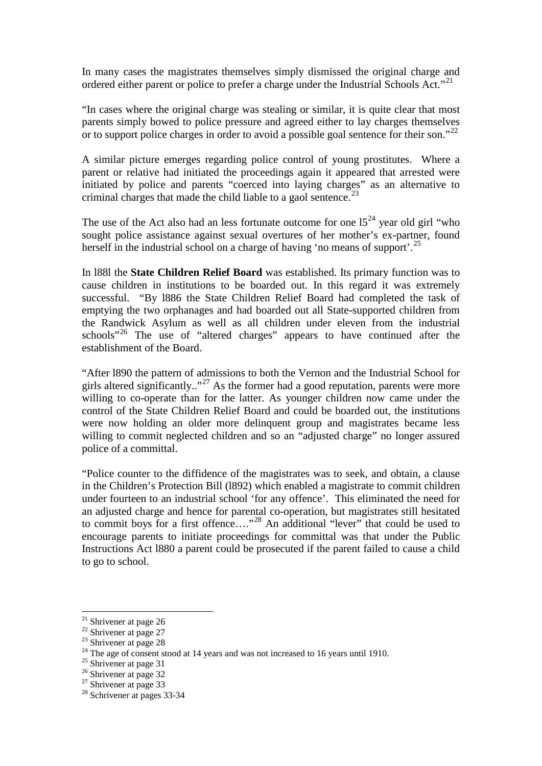In many cases the magistrates themselves simply dismissed the original charge and ordered either parent or police to prefer a charge under the Industrial Schools Act."<sup>[21](#page-6-0)</sup>

"In cases where the original charge was stealing or similar, it is quite clear that most parents simply bowed to police pressure and agreed either to lay charges themselves or to support police charges in order to avoid a possible goal sentence for their son."<sup>[22](#page-6-1)</sup>

A similar picture emerges regarding police control of young prostitutes. Where a parent or relative had initiated the proceedings again it appeared that arrested were initiated by police and parents "coerced into laying charges" as an alternative to criminal charges that made the child liable to a gaol sentence.<sup>[23](#page-6-2)</sup>

The use of the Act also had an less fortunate outcome for one  $15<sup>24</sup>$  $15<sup>24</sup>$  $15<sup>24</sup>$  year old girl "who sought police assistance against sexual overtures of her mother's ex-partner, found herself in the industrial school on a charge of having 'no means of support'.<sup>[25](#page-6-4)</sup>

In l88l the **State Children Relief Board** was established. Its primary function was to cause children in institutions to be boarded out. In this regard it was extremely successful. "By l886 the State Children Relief Board had completed the task of emptying the two orphanages and had boarded out all State-supported children from the Randwick Asylum as well as all children under eleven from the industrial schools"<sup>[26](#page-6-5)</sup> The use of "altered charges" appears to have continued after the establishment of the Board.

"After l890 the pattern of admissions to both the Vernon and the Industrial School for girls altered significantly.."<sup>[27](#page-6-6)</sup> As the former had a good reputation, parents were more willing to co-operate than for the latter. As younger children now came under the control of the State Children Relief Board and could be boarded out, the institutions were now holding an older more delinquent group and magistrates became less willing to commit neglected children and so an "adjusted charge" no longer assured police of a committal.

"Police counter to the diffidence of the magistrates was to seek, and obtain, a clause in the Children's Protection Bill (l892) which enabled a magistrate to commit children under fourteen to an industrial school 'for any offence'. This eliminated the need for an adjusted charge and hence for parental co-operation, but magistrates still hesitated to commit boys for a first offence...."<sup>[28](#page-6-7)</sup> An additional "lever" that could be used to encourage parents to initiate proceedings for committal was that under the Public Instructions Act l880 a parent could be prosecuted if the parent failed to cause a child to go to school.

<span id="page-6-3"></span><span id="page-6-2"></span>

<span id="page-6-1"></span><span id="page-6-0"></span><sup>&</sup>lt;sup>21</sup> Shrivener at page 26<br>
<sup>22</sup> Shrivener at page 27<br>
<sup>23</sup> Shrivener at page 28<br>
<sup>24</sup> The age of consent stood at 14 years and was not increased to 16 years until 1910.<br>
<sup>25</sup> Shrivener at page 31<br>
<sup>26</sup> Shrivener at page 3

<span id="page-6-4"></span>

<span id="page-6-5"></span>

<span id="page-6-6"></span>

<span id="page-6-7"></span>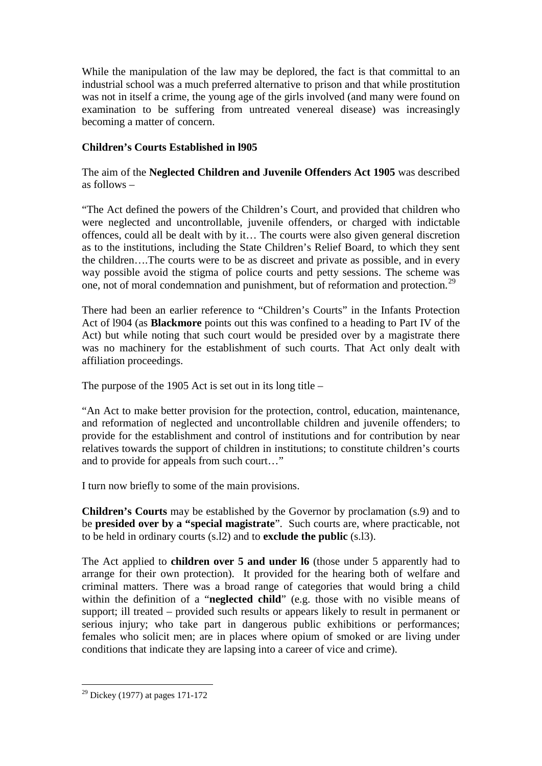While the manipulation of the law may be deplored, the fact is that committal to an industrial school was a much preferred alternative to prison and that while prostitution was not in itself a crime, the young age of the girls involved (and many were found on examination to be suffering from untreated venereal disease) was increasingly becoming a matter of concern.

# **Children's Courts Established in l905**

The aim of the **Neglected Children and Juvenile Offenders Act 1905** was described as follows –

"The Act defined the powers of the Children's Court, and provided that children who were neglected and uncontrollable, juvenile offenders, or charged with indictable offences, could all be dealt with by it… The courts were also given general discretion as to the institutions, including the State Children's Relief Board, to which they sent the children….The courts were to be as discreet and private as possible, and in every way possible avoid the stigma of police courts and petty sessions. The scheme was one, not of moral condemnation and punishment, but of reformation and protection.[29](#page-7-0)

There had been an earlier reference to "Children's Courts" in the Infants Protection Act of l904 (as **Blackmore** points out this was confined to a heading to Part IV of the Act) but while noting that such court would be presided over by a magistrate there was no machinery for the establishment of such courts. That Act only dealt with affiliation proceedings.

The purpose of the 1905 Act is set out in its long title –

"An Act to make better provision for the protection, control, education, maintenance, and reformation of neglected and uncontrollable children and juvenile offenders; to provide for the establishment and control of institutions and for contribution by near relatives towards the support of children in institutions; to constitute children's courts and to provide for appeals from such court…"

I turn now briefly to some of the main provisions.

**Children's Courts** may be established by the Governor by proclamation (s.9) and to be **presided over by a "special magistrate**". Such courts are, where practicable, not to be held in ordinary courts (s.l2) and to **exclude the public** (s.l3).

The Act applied to **children over 5 and under l6** (those under 5 apparently had to arrange for their own protection). It provided for the hearing both of welfare and criminal matters. There was a broad range of categories that would bring a child within the definition of a "**neglected child**" (e.g. those with no visible means of support; ill treated – provided such results or appears likely to result in permanent or serious injury; who take part in dangerous public exhibitions or performances; females who solicit men; are in places where opium of smoked or are living under conditions that indicate they are lapsing into a career of vice and crime).

<span id="page-7-0"></span> $29$  Dickey (1977) at pages 171-172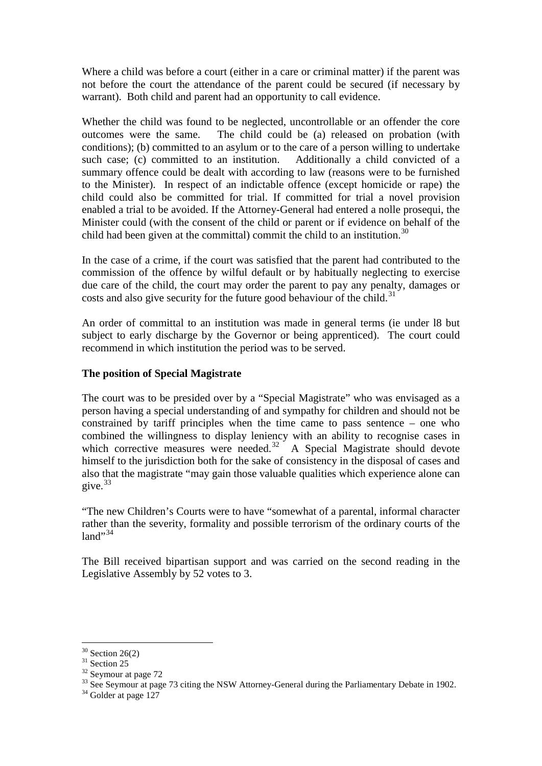Where a child was before a court (either in a care or criminal matter) if the parent was not before the court the attendance of the parent could be secured (if necessary by warrant). Both child and parent had an opportunity to call evidence.

Whether the child was found to be neglected, uncontrollable or an offender the core outcomes were the same. The child could be (a) released on probation (with conditions); (b) committed to an asylum or to the care of a person willing to undertake such case; (c) committed to an institution. Additionally a child convicted of a summary offence could be dealt with according to law (reasons were to be furnished to the Minister). In respect of an indictable offence (except homicide or rape) the child could also be committed for trial. If committed for trial a novel provision enabled a trial to be avoided. If the Attorney-General had entered a nolle prosequi, the Minister could (with the consent of the child or parent or if evidence on behalf of the child had been given at the committal) commit the child to an institution.<sup>[30](#page-8-0)</sup>

In the case of a crime, if the court was satisfied that the parent had contributed to the commission of the offence by wilful default or by habitually neglecting to exercise due care of the child, the court may order the parent to pay any penalty, damages or costs and also give security for the future good behaviour of the child.<sup>[31](#page-8-1)</sup>

An order of committal to an institution was made in general terms (ie under l8 but subject to early discharge by the Governor or being apprenticed). The court could recommend in which institution the period was to be served.

#### **The position of Special Magistrate**

The court was to be presided over by a "Special Magistrate" who was envisaged as a person having a special understanding of and sympathy for children and should not be constrained by tariff principles when the time came to pass sentence – one who combined the willingness to display leniency with an ability to recognise cases in which corrective measures were needed.<sup>32</sup> A Special Magistrate should devote himself to the jurisdiction both for the sake of consistency in the disposal of cases and also that the magistrate "may gain those valuable qualities which experience alone can give.[33](#page-8-3)

"The new Children's Courts were to have "somewhat of a parental, informal character rather than the severity, formality and possible terrorism of the ordinary courts of the  $l$ and" $34$ 

The Bill received bipartisan support and was carried on the second reading in the Legislative Assembly by 52 votes to 3.

<span id="page-8-3"></span><span id="page-8-2"></span>

<span id="page-8-1"></span><span id="page-8-0"></span><sup>&</sup>lt;sup>30</sup> Section 26(2)<br><sup>31</sup> Section 25<br><sup>32</sup> Seymour at page 72<br><sup>33</sup> See Seymour at page 73 citing the NSW Attorney-General during the Parliamentary Debate in 1902.<br><sup>34</sup> Golder at page 127

<span id="page-8-4"></span>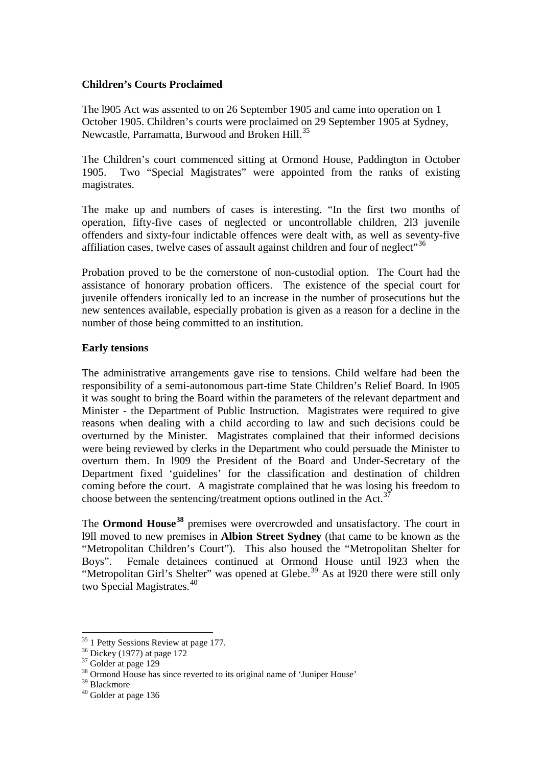#### **Children's Courts Proclaimed**

The l905 Act was assented to on 26 September 1905 and came into operation on 1 October 1905. Children's courts were proclaimed on 29 September 1905 at Sydney, Newcastle, Parramatta, Burwood and Broken Hill.<sup>[35](#page-9-0)</sup>

The Children's court commenced sitting at Ormond House, Paddington in October 1905. Two "Special Magistrates" were appointed from the ranks of existing magistrates.

The make up and numbers of cases is interesting. "In the first two months of operation, fifty-five cases of neglected or uncontrollable children, 2l3 juvenile offenders and sixty-four indictable offences were dealt with, as well as seventy-five affiliation cases, twelve cases of assault against children and four of neglect"<sup>[36](#page-9-1)</sup>

Probation proved to be the cornerstone of non-custodial option. The Court had the assistance of honorary probation officers. The existence of the special court for juvenile offenders ironically led to an increase in the number of prosecutions but the new sentences available, especially probation is given as a reason for a decline in the number of those being committed to an institution.

#### **Early tensions**

The administrative arrangements gave rise to tensions. Child welfare had been the responsibility of a semi-autonomous part-time State Children's Relief Board. In l905 it was sought to bring the Board within the parameters of the relevant department and Minister - the Department of Public Instruction. Magistrates were required to give reasons when dealing with a child according to law and such decisions could be overturned by the Minister. Magistrates complained that their informed decisions were being reviewed by clerks in the Department who could persuade the Minister to overturn them. In l909 the President of the Board and Under-Secretary of the Department fixed 'guidelines' for the classification and destination of children coming before the court. A magistrate complained that he was losing his freedom to choose between the sentencing/treatment options outlined in the Act.<sup>[37](#page-9-2)</sup>

The **Ormond House[38](#page-9-3)** premises were overcrowded and unsatisfactory. The court in l9ll moved to new premises in **Albion Street Sydney** (that came to be known as the "Metropolitan Children's Court"). This also housed the "Metropolitan Shelter for Boys". Female detainees continued at Ormond House until l923 when the "Metropolitan Girl's Shelter" was opened at Glebe.<sup>[39](#page-9-4)</sup> As at 1920 there were still only two Special Magistrates.<sup>[40](#page-9-5)</sup>

<span id="page-9-2"></span>

<span id="page-9-1"></span><span id="page-9-0"></span><sup>&</sup>lt;sup>35</sup> 1 Petty Sessions Review at page 177.<br><sup>36</sup> Dickey (1977) at page 172<br><sup>37</sup> Golder at page 129<br><sup>38</sup> Ormond House has since reverted to its original name of 'Juniper House'<br><sup>39</sup> Blackmore

<span id="page-9-4"></span><span id="page-9-3"></span>

<span id="page-9-5"></span> $40$  Golder at page 136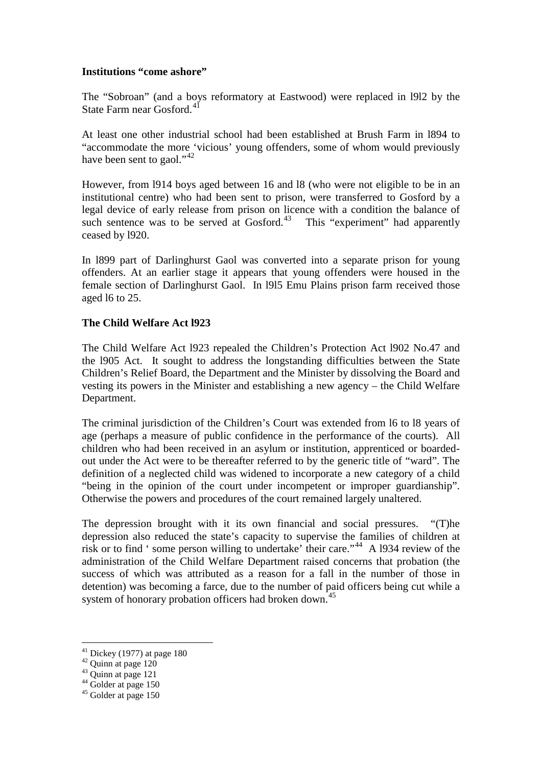#### **Institutions "come ashore"**

The "Sobroan" (and a boys reformatory at Eastwood) were replaced in l9l2 by the State Farm near Gosford.<sup>[41](#page-10-0)</sup>

At least one other industrial school had been established at Brush Farm in l894 to "accommodate the more 'vicious' young offenders, some of whom would previously have been sent to gaol."<sup>[42](#page-10-1)</sup>

However, from l914 boys aged between 16 and l8 (who were not eligible to be in an institutional centre) who had been sent to prison, were transferred to Gosford by a legal device of early release from prison on licence with a condition the balance of such sentence was to be served at Gosford.<sup>[43](#page-10-2)</sup> This "experiment" had apparently ceased by l920.

In l899 part of Darlinghurst Gaol was converted into a separate prison for young offenders. At an earlier stage it appears that young offenders were housed in the female section of Darlinghurst Gaol. In l9l5 Emu Plains prison farm received those aged l6 to 25.

## **The Child Welfare Act l923**

The Child Welfare Act l923 repealed the Children's Protection Act l902 No.47 and the l905 Act. It sought to address the longstanding difficulties between the State Children's Relief Board, the Department and the Minister by dissolving the Board and vesting its powers in the Minister and establishing a new agency – the Child Welfare Department.

The criminal jurisdiction of the Children's Court was extended from l6 to l8 years of age (perhaps a measure of public confidence in the performance of the courts). All children who had been received in an asylum or institution, apprenticed or boardedout under the Act were to be thereafter referred to by the generic title of "ward". The definition of a neglected child was widened to incorporate a new category of a child "being in the opinion of the court under incompetent or improper guardianship". Otherwise the powers and procedures of the court remained largely unaltered.

The depression brought with it its own financial and social pressures. "(T)he depression also reduced the state's capacity to supervise the families of children at risk or to find ' some person willing to undertake' their care."<sup>[44](#page-10-3)</sup> A 1934 review of the administration of the Child Welfare Department raised concerns that probation (the success of which was attributed as a reason for a fall in the number of those in detention) was becoming a farce, due to the number of paid officers being cut while a system of honorary probation officers had broken down.<sup>[45](#page-10-4)</sup>

<span id="page-10-1"></span><span id="page-10-0"></span><sup>&</sup>lt;sup>41</sup> Dickey (1977) at page 180<br><sup>42</sup> Quinn at page 120<br><sup>43</sup> Quinn at page 121<br><sup>44</sup> Golder at page 150<br><sup>45</sup> Golder at page 150

<span id="page-10-2"></span>

<span id="page-10-3"></span>

<span id="page-10-4"></span>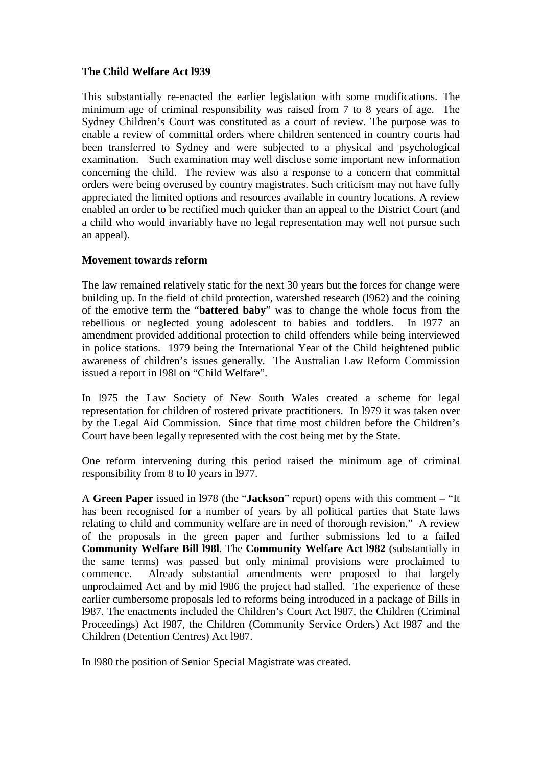## **The Child Welfare Act l939**

This substantially re-enacted the earlier legislation with some modifications. The minimum age of criminal responsibility was raised from 7 to 8 years of age. The Sydney Children's Court was constituted as a court of review. The purpose was to enable a review of committal orders where children sentenced in country courts had been transferred to Sydney and were subjected to a physical and psychological examination. Such examination may well disclose some important new information concerning the child. The review was also a response to a concern that committal orders were being overused by country magistrates. Such criticism may not have fully appreciated the limited options and resources available in country locations. A review enabled an order to be rectified much quicker than an appeal to the District Court (and a child who would invariably have no legal representation may well not pursue such an appeal).

## **Movement towards reform**

The law remained relatively static for the next 30 years but the forces for change were building up. In the field of child protection, watershed research (l962) and the coining of the emotive term the "**battered baby**" was to change the whole focus from the rebellious or neglected young adolescent to babies and toddlers. In l977 an amendment provided additional protection to child offenders while being interviewed in police stations. 1979 being the International Year of the Child heightened public awareness of children's issues generally. The Australian Law Reform Commission issued a report in l98l on "Child Welfare".

In l975 the Law Society of New South Wales created a scheme for legal representation for children of rostered private practitioners. In l979 it was taken over by the Legal Aid Commission. Since that time most children before the Children's Court have been legally represented with the cost being met by the State.

One reform intervening during this period raised the minimum age of criminal responsibility from 8 to l0 years in l977.

A **Green Paper** issued in l978 (the "**Jackson**" report) opens with this comment – "It has been recognised for a number of years by all political parties that State laws relating to child and community welfare are in need of thorough revision." A review of the proposals in the green paper and further submissions led to a failed **Community Welfare Bill l98l**. The **Community Welfare Act l982** (substantially in the same terms) was passed but only minimal provisions were proclaimed to commence. Already substantial amendments were proposed to that largely unproclaimed Act and by mid l986 the project had stalled. The experience of these earlier cumbersome proposals led to reforms being introduced in a package of Bills in l987. The enactments included the Children's Court Act l987, the Children (Criminal Proceedings) Act l987, the Children (Community Service Orders) Act l987 and the Children (Detention Centres) Act l987.

In l980 the position of Senior Special Magistrate was created.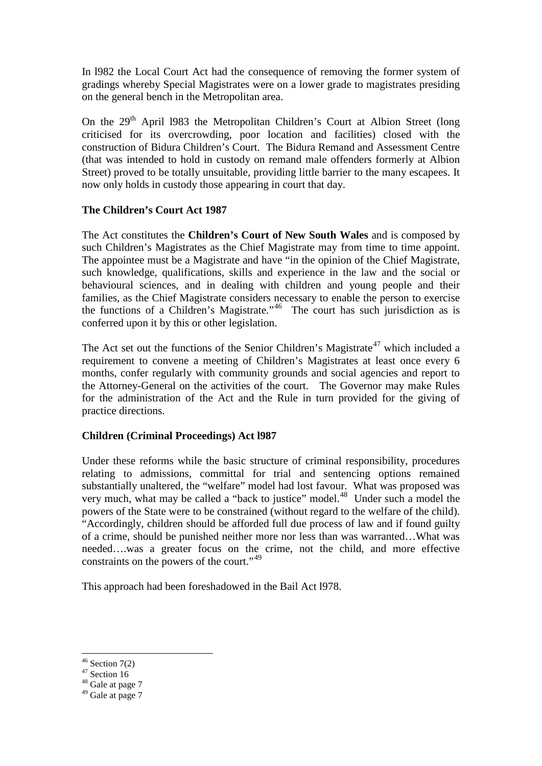In l982 the Local Court Act had the consequence of removing the former system of gradings whereby Special Magistrates were on a lower grade to magistrates presiding on the general bench in the Metropolitan area.

On the  $29<sup>th</sup>$  April 1983 the Metropolitan Children's Court at Albion Street (long criticised for its overcrowding, poor location and facilities) closed with the construction of Bidura Children's Court. The Bidura Remand and Assessment Centre (that was intended to hold in custody on remand male offenders formerly at Albion Street) proved to be totally unsuitable, providing little barrier to the many escapees. It now only holds in custody those appearing in court that day.

## **The Children's Court Act 1987**

The Act constitutes the **Children's Court of New South Wales** and is composed by such Children's Magistrates as the Chief Magistrate may from time to time appoint. The appointee must be a Magistrate and have "in the opinion of the Chief Magistrate, such knowledge, qualifications, skills and experience in the law and the social or behavioural sciences, and in dealing with children and young people and their families, as the Chief Magistrate considers necessary to enable the person to exercise the functions of a Children's Magistrate."[46](#page-12-0) The court has such jurisdiction as is conferred upon it by this or other legislation.

The Act set out the functions of the Senior Children's Magistrate<sup>[47](#page-12-1)</sup> which included a requirement to convene a meeting of Children's Magistrates at least once every 6 months, confer regularly with community grounds and social agencies and report to the Attorney-General on the activities of the court. The Governor may make Rules for the administration of the Act and the Rule in turn provided for the giving of practice directions.

# **Children (Criminal Proceedings) Act l987**

Under these reforms while the basic structure of criminal responsibility, procedures relating to admissions, committal for trial and sentencing options remained substantially unaltered, the "welfare" model had lost favour. What was proposed was very much, what may be called a "back to justice" model.<sup>48</sup> Under such a model the powers of the State were to be constrained (without regard to the welfare of the child). "Accordingly, children should be afforded full due process of law and if found guilty of a crime, should be punished neither more nor less than was warranted…What was needed….was a greater focus on the crime, not the child, and more effective constraints on the powers of the court."<sup>[49](#page-12-3)</sup>

This approach had been foreshadowed in the Bail Act l978.

<span id="page-12-0"></span><sup>&</sup>lt;sup>46</sup> Section 7(2)<br><sup>47</sup> Section 16<br><sup>48</sup> Gale at page 7

<span id="page-12-1"></span>

<span id="page-12-3"></span><span id="page-12-2"></span><sup>&</sup>lt;sup>49</sup> Gale at page 7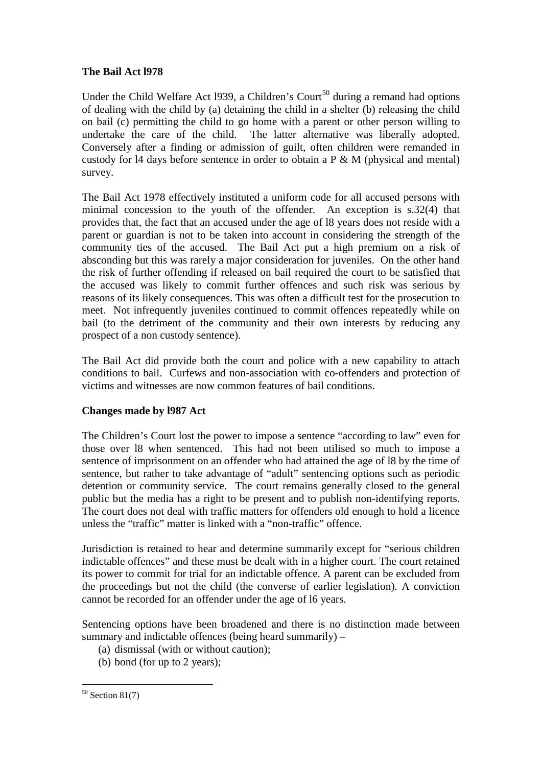# **The Bail Act l978**

Under the Child Welfare Act 1939, a Children's Court<sup>[50](#page-13-0)</sup> during a remand had options of dealing with the child by (a) detaining the child in a shelter (b) releasing the child on bail (c) permitting the child to go home with a parent or other person willing to undertake the care of the child. The latter alternative was liberally adopted. Conversely after a finding or admission of guilt, often children were remanded in custody for l4 days before sentence in order to obtain a P & M (physical and mental) survey.

The Bail Act 1978 effectively instituted a uniform code for all accused persons with minimal concession to the youth of the offender. An exception is s.32(4) that provides that, the fact that an accused under the age of l8 years does not reside with a parent or guardian is not to be taken into account in considering the strength of the community ties of the accused. The Bail Act put a high premium on a risk of absconding but this was rarely a major consideration for juveniles. On the other hand the risk of further offending if released on bail required the court to be satisfied that the accused was likely to commit further offences and such risk was serious by reasons of its likely consequences. This was often a difficult test for the prosecution to meet. Not infrequently juveniles continued to commit offences repeatedly while on bail (to the detriment of the community and their own interests by reducing any prospect of a non custody sentence).

The Bail Act did provide both the court and police with a new capability to attach conditions to bail. Curfews and non-association with co-offenders and protection of victims and witnesses are now common features of bail conditions.

# **Changes made by l987 Act**

The Children's Court lost the power to impose a sentence "according to law" even for those over l8 when sentenced. This had not been utilised so much to impose a sentence of imprisonment on an offender who had attained the age of l8 by the time of sentence, but rather to take advantage of "adult" sentencing options such as periodic detention or community service. The court remains generally closed to the general public but the media has a right to be present and to publish non-identifying reports. The court does not deal with traffic matters for offenders old enough to hold a licence unless the "traffic" matter is linked with a "non-traffic" offence.

Jurisdiction is retained to hear and determine summarily except for "serious children indictable offences" and these must be dealt with in a higher court. The court retained its power to commit for trial for an indictable offence. A parent can be excluded from the proceedings but not the child (the converse of earlier legislation). A conviction cannot be recorded for an offender under the age of l6 years.

Sentencing options have been broadened and there is no distinction made between summary and indictable offences (being heard summarily) –

- (a) dismissal (with or without caution);
- (b) bond (for up to 2 years);

<span id="page-13-0"></span> $50$  Section 81(7)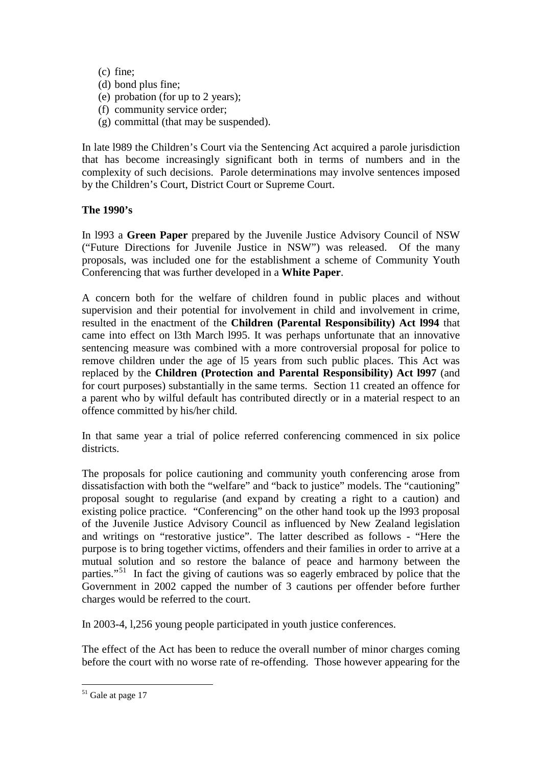(c) fine;

- (d) bond plus fine;
- (e) probation (for up to 2 years);
- (f) community service order;
- (g) committal (that may be suspended).

In late l989 the Children's Court via the Sentencing Act acquired a parole jurisdiction that has become increasingly significant both in terms of numbers and in the complexity of such decisions. Parole determinations may involve sentences imposed by the Children's Court, District Court or Supreme Court.

## **The 1990's**

In l993 a **Green Paper** prepared by the Juvenile Justice Advisory Council of NSW ("Future Directions for Juvenile Justice in NSW") was released. Of the many proposals, was included one for the establishment a scheme of Community Youth Conferencing that was further developed in a **White Paper**.

A concern both for the welfare of children found in public places and without supervision and their potential for involvement in child and involvement in crime, resulted in the enactment of the **Children (Parental Responsibility) Act l994** that came into effect on l3th March l995. It was perhaps unfortunate that an innovative sentencing measure was combined with a more controversial proposal for police to remove children under the age of l5 years from such public places. This Act was replaced by the **Children (Protection and Parental Responsibility) Act l997** (and for court purposes) substantially in the same terms. Section 11 created an offence for a parent who by wilful default has contributed directly or in a material respect to an offence committed by his/her child.

In that same year a trial of police referred conferencing commenced in six police districts.

The proposals for police cautioning and community youth conferencing arose from dissatisfaction with both the "welfare" and "back to justice" models. The "cautioning" proposal sought to regularise (and expand by creating a right to a caution) and existing police practice. "Conferencing" on the other hand took up the l993 proposal of the Juvenile Justice Advisory Council as influenced by New Zealand legislation and writings on "restorative justice". The latter described as follows - "Here the purpose is to bring together victims, offenders and their families in order to arrive at a mutual solution and so restore the balance of peace and harmony between the parties."[51](#page-14-0) In fact the giving of cautions was so eagerly embraced by police that the Government in 2002 capped the number of 3 cautions per offender before further charges would be referred to the court.

In 2003-4, l,256 young people participated in youth justice conferences.

The effect of the Act has been to reduce the overall number of minor charges coming before the court with no worse rate of re-offending. Those however appearing for the

<span id="page-14-0"></span><sup>&</sup>lt;sup>51</sup> Gale at page 17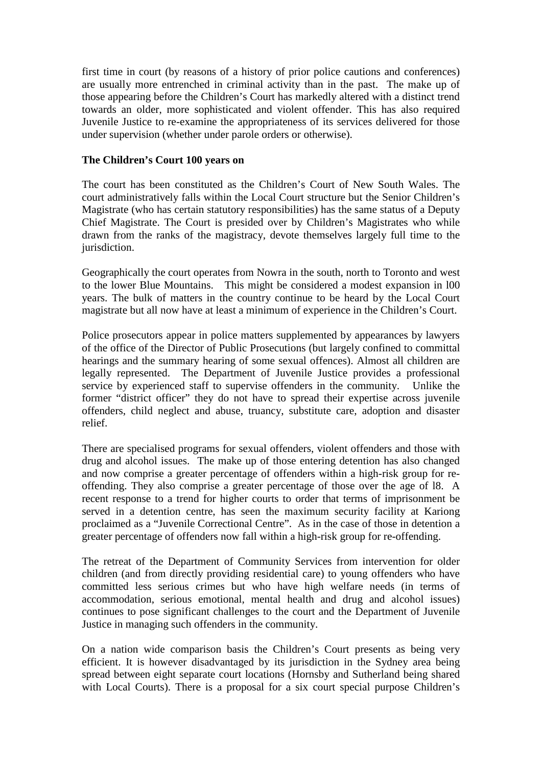first time in court (by reasons of a history of prior police cautions and conferences) are usually more entrenched in criminal activity than in the past. The make up of those appearing before the Children's Court has markedly altered with a distinct trend towards an older, more sophisticated and violent offender. This has also required Juvenile Justice to re-examine the appropriateness of its services delivered for those under supervision (whether under parole orders or otherwise).

#### **The Children's Court 100 years on**

The court has been constituted as the Children's Court of New South Wales. The court administratively falls within the Local Court structure but the Senior Children's Magistrate (who has certain statutory responsibilities) has the same status of a Deputy Chief Magistrate. The Court is presided over by Children's Magistrates who while drawn from the ranks of the magistracy, devote themselves largely full time to the jurisdiction.

Geographically the court operates from Nowra in the south, north to Toronto and west to the lower Blue Mountains. This might be considered a modest expansion in l00 years. The bulk of matters in the country continue to be heard by the Local Court magistrate but all now have at least a minimum of experience in the Children's Court.

Police prosecutors appear in police matters supplemented by appearances by lawyers of the office of the Director of Public Prosecutions (but largely confined to committal hearings and the summary hearing of some sexual offences). Almost all children are legally represented. The Department of Juvenile Justice provides a professional service by experienced staff to supervise offenders in the community. Unlike the former "district officer" they do not have to spread their expertise across juvenile offenders, child neglect and abuse, truancy, substitute care, adoption and disaster relief.

There are specialised programs for sexual offenders, violent offenders and those with drug and alcohol issues. The make up of those entering detention has also changed and now comprise a greater percentage of offenders within a high-risk group for reoffending. They also comprise a greater percentage of those over the age of l8. A recent response to a trend for higher courts to order that terms of imprisonment be served in a detention centre, has seen the maximum security facility at Kariong proclaimed as a "Juvenile Correctional Centre". As in the case of those in detention a greater percentage of offenders now fall within a high-risk group for re-offending.

The retreat of the Department of Community Services from intervention for older children (and from directly providing residential care) to young offenders who have committed less serious crimes but who have high welfare needs (in terms of accommodation, serious emotional, mental health and drug and alcohol issues) continues to pose significant challenges to the court and the Department of Juvenile Justice in managing such offenders in the community.

On a nation wide comparison basis the Children's Court presents as being very efficient. It is however disadvantaged by its jurisdiction in the Sydney area being spread between eight separate court locations (Hornsby and Sutherland being shared with Local Courts). There is a proposal for a six court special purpose Children's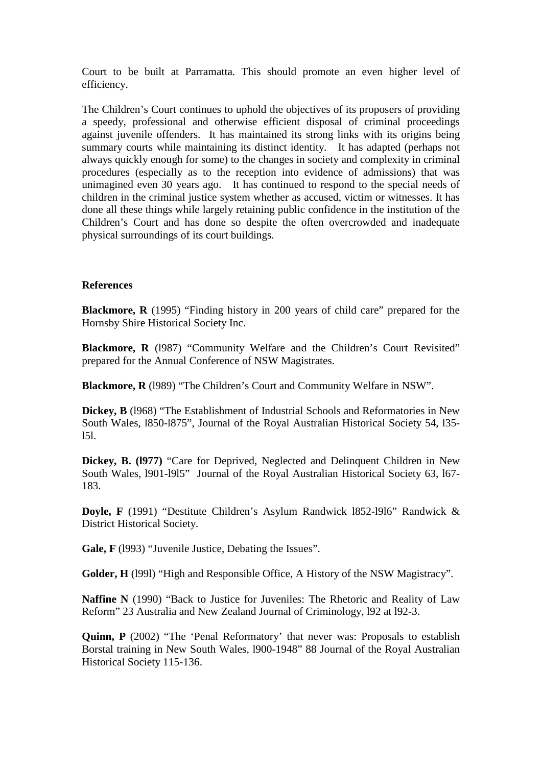Court to be built at Parramatta. This should promote an even higher level of efficiency.

The Children's Court continues to uphold the objectives of its proposers of providing a speedy, professional and otherwise efficient disposal of criminal proceedings against juvenile offenders. It has maintained its strong links with its origins being summary courts while maintaining its distinct identity. It has adapted (perhaps not always quickly enough for some) to the changes in society and complexity in criminal procedures (especially as to the reception into evidence of admissions) that was unimagined even 30 years ago. It has continued to respond to the special needs of children in the criminal justice system whether as accused, victim or witnesses. It has done all these things while largely retaining public confidence in the institution of the Children's Court and has done so despite the often overcrowded and inadequate physical surroundings of its court buildings.

#### **References**

**Blackmore, R** (1995) "Finding history in 200 years of child care" prepared for the Hornsby Shire Historical Society Inc.

**Blackmore, R** (1987) "Community Welfare and the Children's Court Revisited" prepared for the Annual Conference of NSW Magistrates.

**Blackmore, R** (l989) "The Children's Court and Community Welfare in NSW".

**Dickey, B** (l968) "The Establishment of Industrial Schools and Reformatories in New South Wales, l850-l875", Journal of the Royal Australian Historical Society 54, l35 l5l.

**Dickey, B. (l977)** "Care for Deprived, Neglected and Delinquent Children in New South Wales, l901-l9l5" Journal of the Royal Australian Historical Society 63, l67- 183.

**Doyle, F** (1991) "Destitute Children's Asylum Randwick l852-l9l6" Randwick & District Historical Society.

Gale, F (1993) "Juvenile Justice, Debating the Issues".

**Golder, H** (l99l) "High and Responsible Office, A History of the NSW Magistracy".

**Naffine N** (1990) "Back to Justice for Juveniles: The Rhetoric and Reality of Law Reform" 23 Australia and New Zealand Journal of Criminology, l92 at l92-3.

**Quinn, P** (2002) "The 'Penal Reformatory' that never was: Proposals to establish Borstal training in New South Wales, l900-1948" 88 Journal of the Royal Australian Historical Society 115-136.